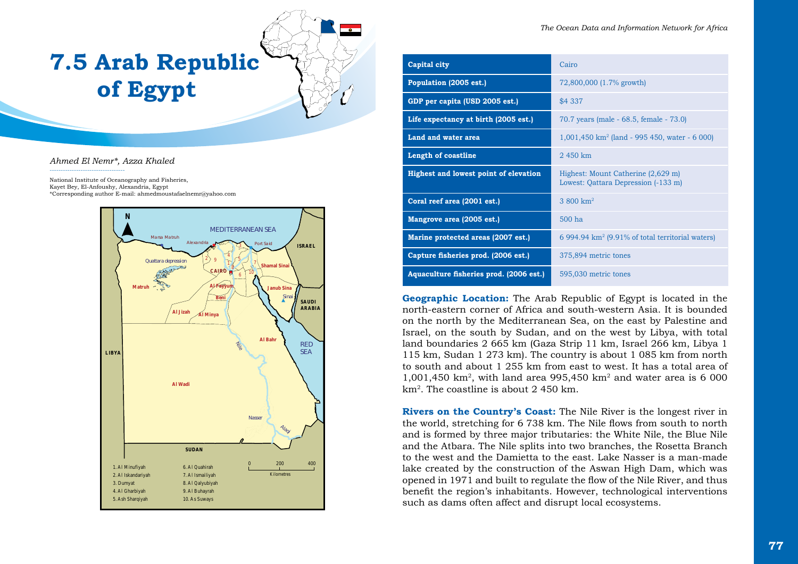# **7.5 Arab Republic of Egypt**

*Ahmed El Nemr\*, Azza Khaled*

----------------------------------

National Institute of Oceanography and Fisheries, Kayet Bey, El-Anfoushy, Alexandria, Egypt \*Corresponding author E-mail: ahmedmoustafaelnemr@yahoo.com



| Capital city                            | Cairo                                                                     |
|-----------------------------------------|---------------------------------------------------------------------------|
| Population (2005 est.)                  | 72,800,000 (1.7% growth)                                                  |
| GDP per capita (USD 2005 est.)          | \$4 337                                                                   |
| Life expectancy at birth (2005 est.)    | 70.7 years (male - 68.5, female - 73.0)                                   |
| Land and water area                     | $1,001,450$ km <sup>2</sup> (land - 995 450, water - 6 000)               |
| <b>Length of coastline</b>              | 2450 km                                                                   |
| Highest and lowest point of elevation   | Highest: Mount Catherine (2,629 m)<br>Lowest: Qattara Depression (-133 m) |
| Coral reef area (2001 est.)             | 3.800 $km^2$                                                              |
| Mangrove area (2005 est.)               | $500$ ha                                                                  |
| Marine protected areas (2007 est.)      | 6 994.94 km <sup>2</sup> (9.91% of total territorial waters)              |
| Capture fisheries prod. (2006 est.)     | 375,894 metric tones                                                      |
| Aquaculture fisheries prod. (2006 est.) | 595,030 metric tones                                                      |

**Geographic Location:** The Arab Republic of Egypt is located in the north-eastern corner of Africa and south-western Asia. It is bounded on the north by the Mediterranean Sea, on the east by Palestine and Israel, on the south by Sudan, and on the west by Libya, with total land boundaries 2 665 km (Gaza Strip 11 km, Israel 266 km, Libya 1 115 km, Sudan 1 273 km). The country is about 1 085 km from north to south and about 1 255 km from east to west. It has a total area of 1,001,450 km<sup>2</sup>, with land area 995,450 km<sup>2</sup> and water area is 6 000 km2. The coastline is about 2 450 km.

**Rivers on the Country's Coast:** The Nile River is the longest river in the world, stretching for 6 738 km. The Nile flows from south to north and is formed by three major tributaries: the White Nile, the Blue Nile and the Atbara. The Nile splits into two branches, the Rosetta Branch to the west and the Damietta to the east. Lake Nasser is a man-made lake created by the construction of the Aswan High Dam, which was opened in 1971 and built to regulate the flow of the Nile River, and thus benefit the region's inhabitants. However, technological interventions such as dams often affect and disrupt local ecosystems.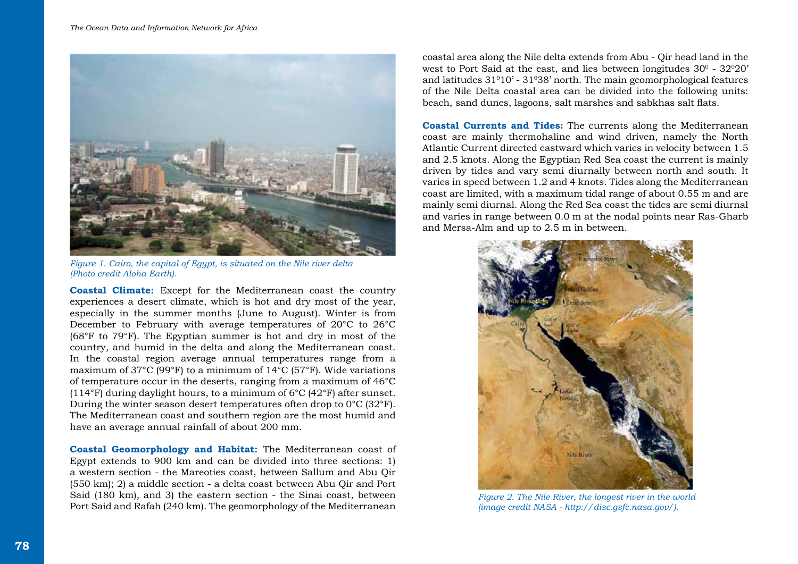

*Figure 1. Cairo, the capital of Egypt, is situated on the Nile river delta (Photo credit Aloha Earth).*

**Coastal Climate:** Except for the Mediterranean coast the country experiences a desert climate, which is hot and dry most of the year, especially in the summer months (June to August). Winter is from December to February with average temperatures of 20°C to 26°C (68°F to 79°F). The Egyptian summer is hot and dry in most of the country, and humid in the delta and along the Mediterranean coast. In the coastal region average annual temperatures range from a maximum of 37°C (99°F) to a minimum of 14°C (57°F). Wide variations of temperature occur in the deserts, ranging from a maximum of 46°C (114°F) during daylight hours, to a minimum of  $6^{\circ}C$  (42°F) after sunset. During the winter season desert temperatures often drop to 0°C (32°F). The Mediterranean coast and southern region are the most humid and have an average annual rainfall of about 200 mm.

**Coastal Geomorphology and Habitat:** The Mediterranean coast of Egypt extends to 900 km and can be divided into three sections: 1) a western section - the Mareoties coast, between Sallum and Abu Qir (550 km); 2) a middle section - a delta coast between Abu Qir and Port Said (180 km), and 3) the eastern section - the Sinai coast, between Port Said and Rafah (240 km). The geomorphology of the Mediterranean

coastal area along the Nile delta extends from Abu - Qir head land in the west to Port Said at the east, and lies between longitudes  $30^{\circ}$  -  $32^{\circ}20'$ and latitudes  $31^{\circ}10'$  -  $31^{\circ}38'$  north. The main geomorphological features of the Nile Delta coastal area can be divided into the following units: beach, sand dunes, lagoons, salt marshes and sabkhas salt flats.

**Coastal Currents and Tides:** The currents along the Mediterranean coast are mainly thermohaline and wind driven, namely the North Atlantic Current directed eastward which varies in velocity between 1.5 and 2.5 knots. Along the Egyptian Red Sea coast the current is mainly driven by tides and vary semi diurnally between north and south. It varies in speed between 1.2 and 4 knots. Tides along the Mediterranean coast are limited, with a maximum tidal range of about 0.55 m and are mainly semi diurnal. Along the Red Sea coast the tides are semi diurnal and varies in range between 0.0 m at the nodal points near Ras-Gharb and Mersa-Alm and up to 2.5 m in between.



*Figure 2. The Nile River, the longest river in the world (image credit NASA - http://disc.gsfc.nasa.gov/).*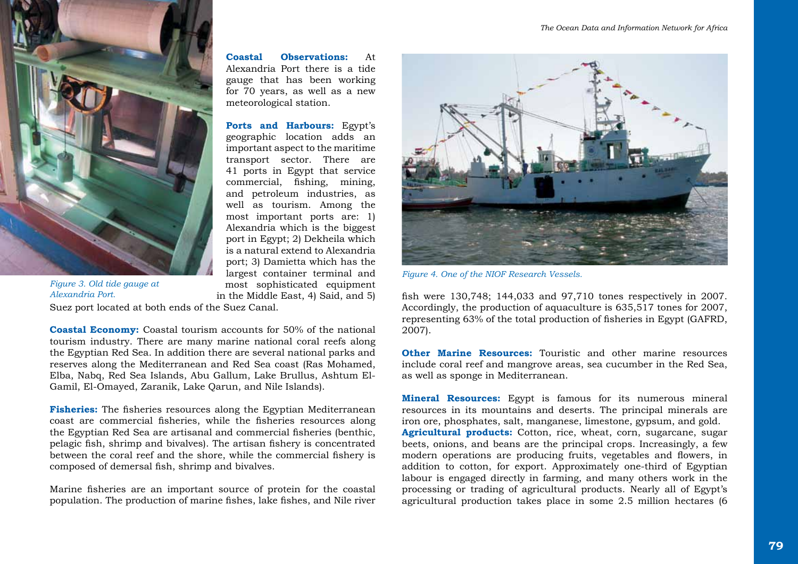

**Coastal Observations:** At Alexandria Port there is a tide gauge that has been working for 70 years, as well as a new meteorological station.

**Ports and Harbours:** Egypt's geographic location adds an important aspect to the maritime transport sector. There are 41 ports in Egypt that service commercial, fishing, mining, and petroleum industries, as well as tourism. Among the most important ports are: 1) Alexandria which is the biggest port in Egypt; 2) Dekheila which is a natural extend to Alexandria port; 3) Damietta which has the largest container terminal and most sophisticated equipment in the Middle East, 4) Said, and 5)

*Figure 3. Old tide gauge at Alexandria Port.* 

Suez port located at both ends of the Suez Canal.

**Coastal Economy:** Coastal tourism accounts for 50% of the national tourism industry. There are many marine national coral reefs along the Egyptian Red Sea. In addition there are several national parks and reserves along the Mediterranean and Red Sea coast (Ras Mohamed, Elba, Nabq, Red Sea Islands, Abu Gallum, Lake Brullus, Ashtum El-Gamil, El-Omayed, Zaranik, Lake Qarun, and Nile Islands).

**Fisheries:** The fisheries resources along the Egyptian Mediterranean coast are commercial fisheries, while the fisheries resources along the Egyptian Red Sea are artisanal and commercial fisheries (benthic, pelagic fish, shrimp and bivalves). The artisan fishery is concentrated between the coral reef and the shore, while the commercial fishery is composed of demersal fish, shrimp and bivalves.

Marine fisheries are an important source of protein for the coastal population. The production of marine fishes, lake fishes, and Nile river



*Figure 4. One of the NIOF Research Vessels.* 

fish were 130,748; 144,033 and 97,710 tones respectively in 2007. Accordingly, the production of aquaculture is 635,517 tones for 2007, representing 63% of the total production of fisheries in Egypt (GAFRD, 2007).

**Other Marine Resources:** Touristic and other marine resources include coral reef and mangrove areas, sea cucumber in the Red Sea, as well as sponge in Mediterranean.

**Mineral Resources:** Egypt is famous for its numerous mineral resources in its mountains and deserts. The principal minerals are iron ore, phosphates, salt, manganese, limestone, gypsum, and gold. **Agricultural products:** Cotton, rice, wheat, corn, sugarcane, sugar beets, onions, and beans are the principal crops. Increasingly, a few modern operations are producing fruits, vegetables and flowers, in addition to cotton, for export. Approximately one-third of Egyptian labour is engaged directly in farming, and many others work in the processing or trading of agricultural products. Nearly all of Egypt's agricultural production takes place in some 2.5 million hectares (6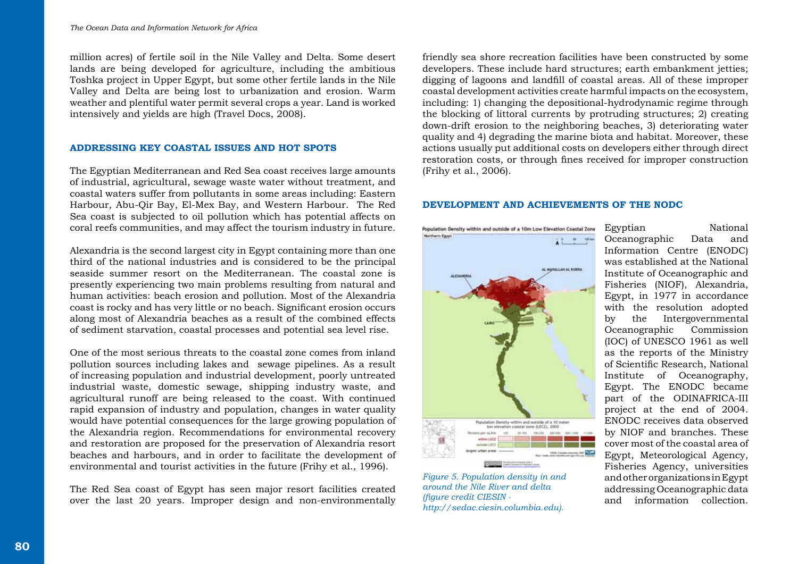million acres) of fertile soil in the Nile Valley and Delta. Some desert lands are being developed for agriculture, including the ambitious Toshka project in Upper Egypt, but some other fertile lands in the Nile Valley and Delta are being lost to urbanization and erosion. Warm weather and plentiful water permit several crops a year. Land is worked intensively and yields are high (Travel Docs, 2008).

## **ADDRESSING KEY COASTAL ISSUES AND HOT SPOTS**

The Egyptian Mediterranean and Red Sea coast receives large amounts of industrial, agricultural, sewage waste water without treatment, and coastal waters suffer from pollutants in some areas including: Eastern Harbour, Abu-Qir Bay, El-Mex Bay, and Western Harbour. The Red Sea coast is subjected to oil pollution which has potential affects on coral reefs communities, and may affect the tourism industry in future.

Alexandria is the second largest city in Egypt containing more than one third of the national industries and is considered to be the principal seaside summer resort on the Mediterranean. The coastal zone is presently experiencing two main problems resulting from natural and human activities: beach erosion and pollution. Most of the Alexandria coast is rocky and has very little or no beach. Significant erosion occurs along most of Alexandria beaches as a result of the combined effects of sediment starvation, coastal processes and potential sea level rise.

One of the most serious threats to the coastal zone comes from inland pollution sources including lakes and sewage pipelines. As a result of increasing population and industrial development, poorly untreated industrial waste, domestic sewage, shipping industry waste, and agricultural runoff are being released to the coast. With continued rapid expansion of industry and population, changes in water quality would have potential consequences for the large growing population of the Alexandria region. Recommendations for environmental recovery and restoration are proposed for the preservation of Alexandria resort beaches and harbours, and in order to facilitate the development of environmental and tourist activities in the future (Frihy et al., 1996).

The Red Sea coast of Egypt has seen major resort facilities created over the last 20 years. Improper design and non-environmentally friendly sea shore recreation facilities have been constructed by some developers. These include hard structures; earth embankment jetties; digging of lagoons and landfill of coastal areas. All of these improper coastal development activities create harmful impacts on the ecosystem, including: 1) changing the depositional-hydrodynamic regime through the blocking of littoral currents by protruding structures; 2) creating down-drift erosion to the neighboring beaches, 3) deteriorating water quality and 4) degrading the marine biota and habitat. Moreover, these actions usually put additional costs on developers either through direct restoration costs, or through fines received for improper construction (Frihy et al., 2006).

# **DEVELOPMENT AND ACHIEVEMENTS OF THE NODC**



*Figure 5. Population density in and around the Nile River and delta (figure credit CIESIN http://sedac.ciesin.columbia.edu).* 

Egyptian National Oceanographic Data and Information Centre (ENODC) was established at the National Institute of Oceanographic and Fisheries (NIOF), Alexandria, Egypt, in 1977 in accordance with the resolution adopted by the Intergovernmental Oceanographic Commission (IOC) of UNESCO 1961 as well as the reports of the Ministry of Scientific Research, National Institute of Oceanography, Egypt. The ENODC became part of the ODINAFRICA-III project at the end of 2004. ENODC receives data observed by NIOF and branches. These cover most of the coastal area of Egypt, Meteorological Agency, Fisheries Agency, universities and other organizations in Egypt addressing Oceanographic data and information collection.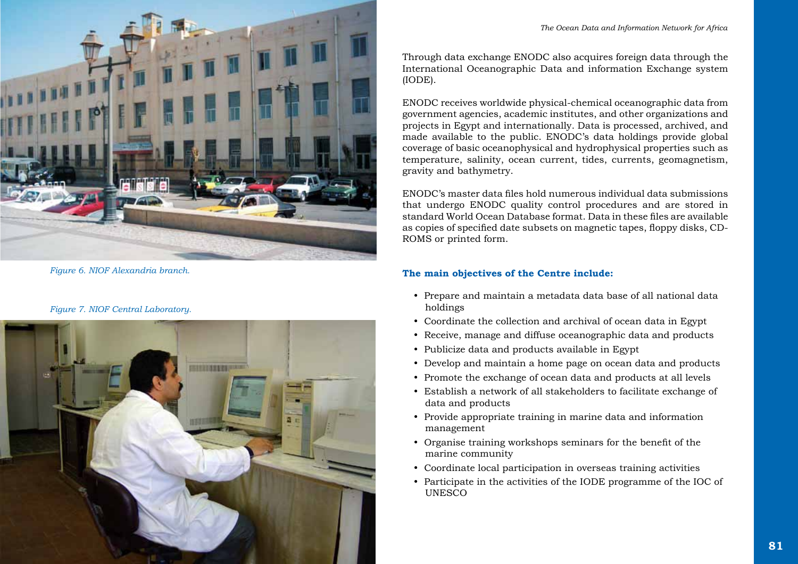

*Figure 6. NIOF Alexandria branch.* 

#### *Figure 7. NIOF Central Laboratory.*



Through data exchange ENODC also acquires foreign data through the International Oceanographic Data and information Exchange system (IODE).

ENODC receives worldwide physical-chemical oceanographic data from government agencies, academic institutes, and other organizations and projects in Egypt and internationally. Data is processed, archived, and made available to the public. ENODC's data holdings provide global coverage of basic oceanophysical and hydrophysical properties such as temperature, salinity, ocean current, tides, currents, geomagnetism, gravity and bathymetry.

ENODC's master data files hold numerous individual data submissions that undergo ENODC quality control procedures and are stored in standard World Ocean Database format. Data in these files are available as copies of specified date subsets on magnetic tapes, floppy disks, CD-ROMS or printed form.

# **The main objectives of the Centre include:**

- y Prepare and maintain a metadata data base of all national data holdings
- Coordinate the collection and archival of ocean data in Egypt
- Receive, manage and diffuse oceanographic data and products
- Publicize data and products available in Egypt
- Develop and maintain a home page on ocean data and products
- Promote the exchange of ocean data and products at all levels
- y Establish a network of all stakeholders to facilitate exchange of data and products
- Provide appropriate training in marine data and information management
- Organise training workshops seminars for the benefit of the marine community
- Coordinate local participation in overseas training activities
- Participate in the activities of the IODE programme of the IOC of UNESCO